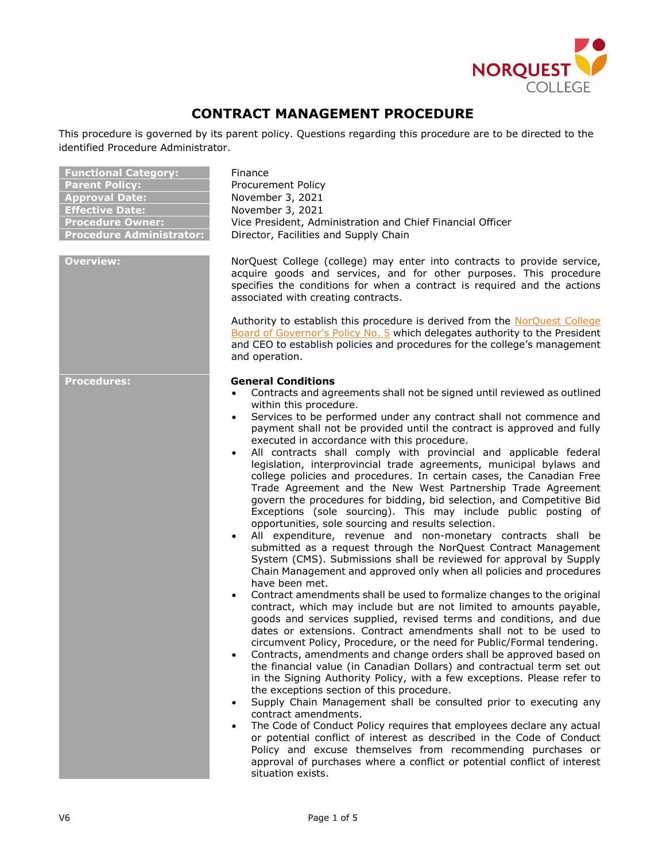

# **CONTRACT MANAGEMENT PROCEDURE**

This procedure is governed by its parent policy. Questions regarding this procedure are to be directed to the identified Procedure Administrator.

| <b>Functional Category:</b>     |
|---------------------------------|
| <b>Parent Policy:</b>           |
| <b>Approval Date:</b>           |
| <b>Effective Date:</b>          |
| <b>Procedure Owner:</b>         |
| <b>Procedure Administrator:</b> |

**Finance** Procurement Policy **Approval Date:** November 3, 2021 **Effective Date:** November 3, 2021 Vice President, Administration and Chief Financial Officer **Procetor, Facilities and Supply Chain** 

**Overview:** NorQuest College (college) may enter into contracts to provide service, acquire goods and services, and for other purposes. This procedure specifies the conditions for when a contract is required and the actions associated with creating contracts.

> Authority to establish this procedure is derived from the [NorQuest College](http://www.norquest.ca/NorquestCollege/media/pdf/about-us/board/BP-No-5-Delegate-authority-to-President.pdf)  Board of [Governor's Policy No. 5](http://www.norquest.ca/NorquestCollege/media/pdf/about-us/board/BP-No-5-Delegate-authority-to-President.pdf) which delegates authority to the President and CEO to establish policies and procedures for the college's management and operation.

#### **Procedures: General Conditions**

- Contracts and agreements shall not be signed until reviewed as outlined within this procedure.
- Services to be performed under any contract shall not commence and payment shall not be provided until the contract is approved and fully executed in accordance with this procedure.
- All contracts shall comply with provincial and applicable federal legislation, interprovincial trade agreements, municipal bylaws and college policies and procedures. In certain cases, the Canadian Free Trade Agreement and the [New West Partnership Trade Agreement](http://www.newwestpartnershiptrade.ca/) govern the procedures for bidding, bid selection, and Competitive Bid Exceptions (sole sourcing). This may include public posting of opportunities, sole sourcing and results selection.
- All expenditure, revenue and non-monetary contracts shall be submitted as a request through the NorQuest Contract Management System (CMS). Submissions shall be reviewed for approval by Supply Chain Management and approved only when all policies and procedures have been met.
- Contract amendments shall be used to formalize changes to the original contract, which may include but are not limited to amounts payable, goods and services supplied, revised terms and conditions, and due dates or extensions. Contract amendments shall not to be used to circumvent Policy, Procedure, or the need for Public/Formal tendering.
- Contracts, amendments and change orders shall be approved based on the financial value (in Canadian Dollars) and contractual term set out in the [Signing Authority Policy,](http://www.norquest.ca/about-us/policies-procedures/finance/signing-authority-policy.aspx) with a few exceptions. Please refer to the exceptions section of this procedure.
- Supply Chain Management shall be consulted prior to executing any contract amendments.
- The [Code of Conduct Policy](http://www.norquest.ca/about-us/policies-procedures/human-resources/code-of-conduct-policy.aspx) requires that employees declare any actual or potential conflict of interest as described in the Code of Conduct Policy and excuse themselves from recommending purchases or approval of purchases where a conflict or potential conflict of interest situation exists.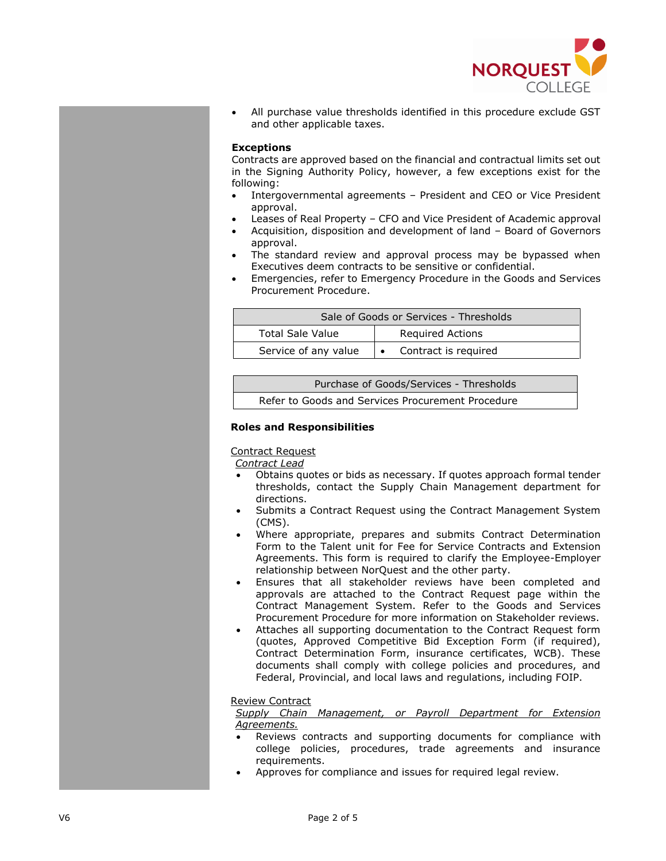

• All purchase value thresholds identified in this procedure exclude GST and other applicable taxes.

## **Exceptions**

Contracts are approved based on the financial and contractual limits set out in the [Signing Authority Policy,](http://www.norquest.ca/about-us/policies-procedures/finance/signing-authority-policy.aspx) however, a few exceptions exist for the following:

- Intergovernmental agreements President and CEO or Vice President approval.
- Leases of Real Property CFO and Vice President of Academic approval
- Acquisition, disposition and development of land Board of Governors approval.
- The standard review and approval process may be bypassed when Executives deem contracts to be sensitive or confidential.
- Emergencies, refer to Emergency Procedure in the [Goods and Services](http://www.norquest.ca/about-us/policies-procedures/finance/procurement-policy/goods-and-services-procurement-procedure.aspx)  [Procurement Procedure.](http://www.norquest.ca/about-us/policies-procedures/finance/procurement-policy/goods-and-services-procurement-procedure.aspx)

| Sale of Goods or Services - Thresholds |                         |
|----------------------------------------|-------------------------|
| Total Sale Value                       | <b>Required Actions</b> |
| Service of any value                   | Contract is required    |

| Purchase of Goods/Services - Thresholds           |  |
|---------------------------------------------------|--|
| Refer to Goods and Services Procurement Procedure |  |

## **Roles and Responsibilities**

Contract Request

*Contract Lead*

- Obtains quotes or bids as necessary. If quotes approach formal tender thresholds, contact the Supply Chain Management department for directions.
- Submits a Contract Request using the Contract Management System (CMS).
- Where appropriate, prepares and submits [Contract Determination](http://theq.norquest.ca/Departments/WDHR/Public-Documents/Forms/Contract-Determination-Form-Continuing-Education-S.aspx)  [Form](http://theq.norquest.ca/Departments/WDHR/Public-Documents/Forms/Contract-Determination-Form-Continuing-Education-S.aspx) to the Talent unit for Fee for Service Contracts and Extension Agreements. This form is required to clarify the Employee-Employer relationship between NorQuest and the other party.
- Ensures that all stakeholder reviews have been completed and approvals are attached to the Contract Request page within the Contract Management System. Refer to the [Goods and Services](http://www.norquest.ca/about-us/policies-procedures/finance/procurement-policy/goods-and-services-procurement-procedure.aspx)  [Procurement Procedure](http://www.norquest.ca/about-us/policies-procedures/finance/procurement-policy/goods-and-services-procurement-procedure.aspx) for more information on Stakeholder reviews.
- Attaches all supporting documentation to the Contract Request form (quotes, Approved Competitive Bid Exception Form (if required), Contract Determination Form, insurance certificates, WCB). These documents shall comply with college policies and procedures, and Federal, Provincial, and local laws and regulations, including FOIP.

#### Review Contract

*Supply Chain Management, or Payroll Department for Extension Agreements.*

- Reviews contracts and supporting documents for compliance with college policies, procedures, trade agreements and insurance requirements.
- Approves for compliance and issues for required legal review.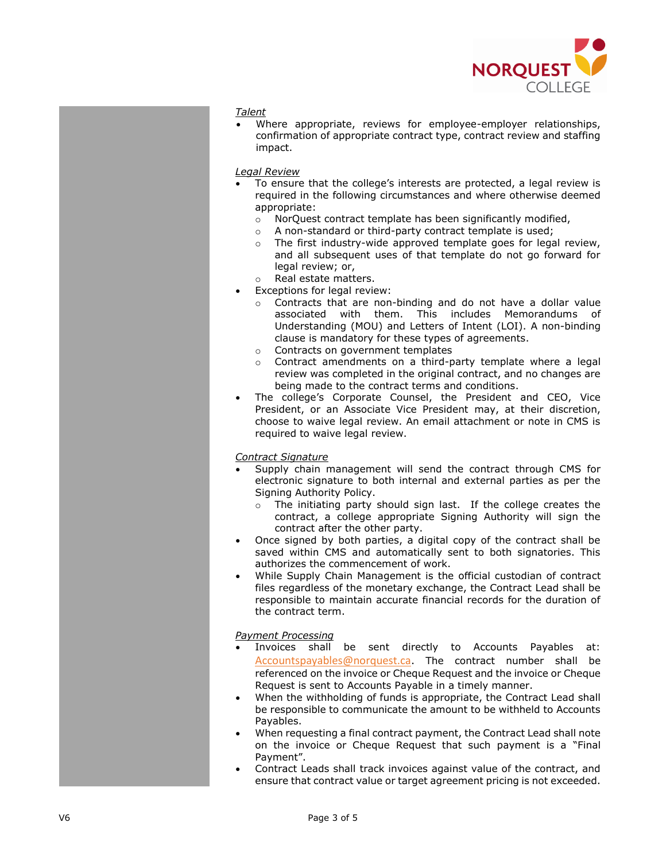

#### *Talent*

• Where appropriate, reviews for employee -employer relationships, confirmation of appropriate contract type, contract review and staffing impact.

#### *Legal Review*

- To ensure that the college's interests are protected, a legal review is required in the following circumstances and where otherwise deemed appropriate:
	- o NorQuest contract template has been significantly modified,
	- o A non-standard or third-party contract template is used;
	- o The first industry-wide approved template goes for legal review, and all subsequent uses of that template do not go forward for legal review; or,
	- o Real estate matters .
- Exceptions for legal review:
	- o Contracts that are non -binding and do not have a dollar value associated with them. This includes Memorandum s of Understanding (MOU) and Letter s of Intent (LOI). A non -binding clause is mandatory for these types of agreements .
	- o Contracts on government templates
	- o Contract amendments on a third-party template where a legal review was completed in the original contract, and no changes are being made to the contract terms and conditions .
- The college 's Corporate Counsel, the President and CEO, Vice President, or an Associate Vice President may, at their discretion, choose to waive legal review. An email attachment or note in CMS is required to waive legal review.

### *Contract Signature*

- Supply chain management will send the contract through CMS for electronic signature to both internal and external parties as per the Signing Authority Policy.
	- o The initiating party should sign last. If the college creates the contract, a college appropriate Signing Authority will sign the contract after the other party.
- Once signed by both parties, a digital copy of the contract shall be saved within CMS and automatically sent to both signatories. This authorizes the commencement of work.
- While Supply Chain Management is the official custodian of contract files regardless of the monetary exchange, the Contract Lead shall be responsible to maintain accurate financial records for the duration of the contract term.

#### *Payment Processing*

- Invoices shall be sent directly to Accounts Payables at: [Accountspayables@norquest.ca](mailto:Accountspayables@norquest.ca). The contract number shall be referenced on the invoice or Cheque Request and the invoice or Cheque Request is sent to Accounts Payable in a timely manner.
- When the withholding of funds is appropriate, the Contract Lead shall be responsible to communicate the amount to be withheld to Accounts Payables.
- When requesting a final contract payment, the Contract Lead shall note on the invoice or Cheque Request that such payment is a "Final Payment".
- Contract Leads shall track invoices against value of the contract, and ensure that contract value or target agreement pricing is not exceeded.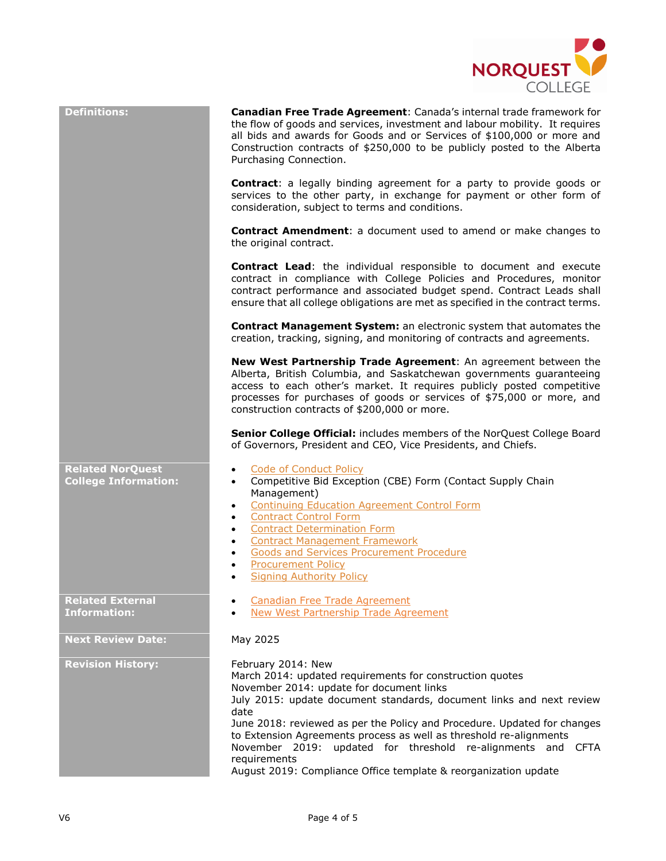

| <b>Definitions:</b>                                    | Canadian Free Trade Agreement: Canada's internal trade framework for<br>the flow of goods and services, investment and labour mobility. It requires<br>all bids and awards for Goods and or Services of \$100,000 or more and<br>Construction contracts of \$250,000 to be publicly posted to the Alberta<br>Purchasing Connection.                                                                                                                                                                            |
|--------------------------------------------------------|----------------------------------------------------------------------------------------------------------------------------------------------------------------------------------------------------------------------------------------------------------------------------------------------------------------------------------------------------------------------------------------------------------------------------------------------------------------------------------------------------------------|
|                                                        | <b>Contract:</b> a legally binding agreement for a party to provide goods or<br>services to the other party, in exchange for payment or other form of<br>consideration, subject to terms and conditions.                                                                                                                                                                                                                                                                                                       |
|                                                        | <b>Contract Amendment:</b> a document used to amend or make changes to<br>the original contract.                                                                                                                                                                                                                                                                                                                                                                                                               |
|                                                        | <b>Contract Lead:</b> the individual responsible to document and execute<br>contract in compliance with College Policies and Procedures, monitor<br>contract performance and associated budget spend. Contract Leads shall<br>ensure that all college obligations are met as specified in the contract terms.                                                                                                                                                                                                  |
|                                                        | <b>Contract Management System:</b> an electronic system that automates the<br>creation, tracking, signing, and monitoring of contracts and agreements.                                                                                                                                                                                                                                                                                                                                                         |
|                                                        | New West Partnership Trade Agreement: An agreement between the<br>Alberta, British Columbia, and Saskatchewan governments guaranteeing<br>access to each other's market. It requires publicly posted competitive<br>processes for purchases of goods or services of \$75,000 or more, and<br>construction contracts of \$200,000 or more.                                                                                                                                                                      |
|                                                        | Senior College Official: includes members of the NorQuest College Board<br>of Governors, President and CEO, Vice Presidents, and Chiefs.                                                                                                                                                                                                                                                                                                                                                                       |
| <b>Related NorQuest</b><br><b>College Information:</b> | <b>Code of Conduct Policy</b><br>$\bullet$<br>Competitive Bid Exception (CBE) Form (Contact Supply Chain<br>$\bullet$<br>Management)<br><b>Continuing Education Agreement Control Form</b><br>$\bullet$<br><b>Contract Control Form</b><br>$\bullet$<br><b>Contract Determination Form</b><br>$\bullet$<br><b>Contract Management Framework</b><br>$\bullet$<br><b>Goods and Services Procurement Procedure</b><br>$\bullet$<br><b>Procurement Policy</b><br><b>Signing Authority Policy</b>                   |
| <b>Related External</b><br><b>Information:</b>         | <b>Canadian Free Trade Agreement</b><br><b>New West Partnership Trade Agreement</b>                                                                                                                                                                                                                                                                                                                                                                                                                            |
| <b>Next Review Date:</b>                               | May 2025                                                                                                                                                                                                                                                                                                                                                                                                                                                                                                       |
| <b>Revision History:</b>                               | February 2014: New<br>March 2014: updated requirements for construction quotes<br>November 2014: update for document links<br>July 2015: update document standards, document links and next review<br>date<br>June 2018: reviewed as per the Policy and Procedure. Updated for changes<br>to Extension Agreements process as well as threshold re-alignments<br>November 2019: updated for threshold re-alignments and CFTA<br>requirements<br>August 2019: Compliance Office template & reorganization update |